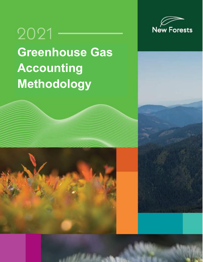

# 2021 **Greenhouse Gas Accounting Methodology**

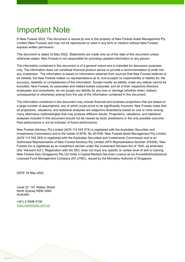# <span id="page-1-0"></span>Important Note

© New Forests 2022. This document is issued by and is the property of New Forests Asset Management Pty Limited (New Forests) and may not be reproduced or used in any form or medium without New Forests' express written permission.

This document is dated 16 May 2022. Statements are made only as of the date of this document unless otherwise stated. New Forests is not responsible for providing updated information to any person.

The information contained in this document is of a general nature and is intended for discussion purposes only. The information does not constitute financial product advice or provide a recommendation to enter into any investment. The information is based on information obtained from sources that New Forests believes to be reliable, but New Forests makes no representations as to, and accepts no responsibility or liability for, the accuracy, reliability or completeness of the information. Except insofar as liability under any statute cannot be excluded, New Forests, its associates and related bodies corporate, and all of their respective directors, employees and consultants, do not accept any liability for any loss or damage (whether direct, indirect, consequential or otherwise) arising from the use of the information contained in this document.

The information contained in this document may include financial and business projections that are based on a large number of assumptions, any of which could prove to be significantly incorrect. New Forests notes that all projections, valuations, and statistical analyses are subjective illustrations based on one or more among many alternative methodologies that may produce different results. Projections, valuations, and statistical analyses included in this document should not be viewed as facts, predictions or the only possible outcome. Past performance is not an indicator of future performance.

New Forests Advisory Pty Limited (ACN 114 545 274) is registered with the Australian Securities and Investments Commission and is the holder of AFSL No 301556. New Forests Asset Management Pty Limited (ACN 114 545 283) is registered with the Australian Securities and Investments Commission and is an Authorised Representative of New Forests Advisory Pty Limited (AFS Representative Number 376306). New Forests Inc is registered as an investment adviser under the Investment Advisers Act of 1940, as amended (the "Advisers Act"). Registration with the SEC does not imply any specific or certain level of skill or training. New Forests Asia (Singapore) Pte Ltd holds a Capital Markets Services Licence as an Accredited/Institutional Licenced Fund Management Company (A/I LFMC), issued by the Monetary Authority of Singapore.

DATE 16 May 2022

Level 23, 141 Walker Street North Sydney NSW 2060 Australia

+(61) 2 9406 4100 [www.newforests.com.au](http://www.newforests.com.au/)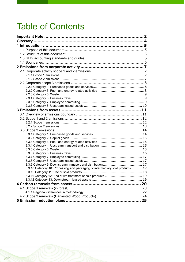# Table of Contents

|  | 3 Emissions from assets ……………………………………………………11                                 |  |
|--|--------------------------------------------------------------------------------|--|
|  |                                                                                |  |
|  |                                                                                |  |
|  |                                                                                |  |
|  |                                                                                |  |
|  |                                                                                |  |
|  |                                                                                |  |
|  |                                                                                |  |
|  |                                                                                |  |
|  |                                                                                |  |
|  |                                                                                |  |
|  |                                                                                |  |
|  |                                                                                |  |
|  |                                                                                |  |
|  | 3.3.10 Category 10: Processing and packaging of intermediary sold products  17 |  |
|  |                                                                                |  |
|  | 3.3.11 Category 12: End of life treatment of sold products  19                 |  |
|  |                                                                                |  |
|  |                                                                                |  |
|  |                                                                                |  |
|  |                                                                                |  |
|  |                                                                                |  |
|  |                                                                                |  |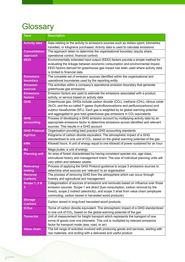# <span id="page-3-0"></span>**Glossary**

 $\varphi$ 

| <b>Term</b>                  | <b>Description</b>                                                                                                                                                            |
|------------------------------|-------------------------------------------------------------------------------------------------------------------------------------------------------------------------------|
| <b>Activity data</b>         | Data relating to the activity to emissions sources such as dollars spent, kilometres                                                                                          |
|                              | travelled, or kilograms purchased. Activity data is used to calculate emissions                                                                                               |
| <b>Consolidation</b>         | The approach taken to determine the organisational boundary (equity share,                                                                                                    |
| approach                     | operational control, financial control)                                                                                                                                       |
| <b>EEIO</b>                  | Environmentally extended input output (EEIO) factors provide a simple method for                                                                                              |
|                              | evaluating the linkage between economic consumption and environmental impact.                                                                                                 |
|                              | EEIO factors derived for greenhouse gas impact has been used where activity data                                                                                              |
|                              | is limited to financial data                                                                                                                                                  |
| <b>Emissions</b>             | The complete set of emission sources identified within the organisational and                                                                                                 |
| boundary                     | operational boundaries used by the reporting entity                                                                                                                           |
| <b>Emission</b>              | The activities within a company's operational emission boundary that generate                                                                                                 |
| <b>sources</b>               | greenhouse gas emissions                                                                                                                                                      |
| <b>Emissions</b>             | Emission factors are used to estimate the emissions associated with a product,                                                                                                |
| factors                      | activity, or service based on activity data                                                                                                                                   |
| <b>GHG</b>                   | Greenhouse gas. GHGs include carbon dioxide (CO <sub>2</sub> ), methane (CH <sub>4</sub> ), nitrous oxide                                                                     |
|                              | (N <sub>2</sub> O), and the so-called F-gases (hydrofluorocarbons and perfluorocarbons) and                                                                                   |
|                              | sulphur hexafluoride ( $SF_6$ ). Each gas is weighted by its global warming potential<br>and aggregated to give total greenhouse gas emissions in CO <sub>2</sub> equivalents |
| <b>GHG</b>                   | Process of developing a GHG emission account by multiplying activity data by an                                                                                               |
| accounting                   | appropriate emissions factor to determine emissions across identified and relevant                                                                                            |
|                              | sources. This results in a GHG account                                                                                                                                        |
| <b>GHG Protocol</b>          | Organisation providing best practice GHG accounting standards                                                                                                                 |
| KgCO <sub>2</sub> e          | Kilograms of carbon dioxide equivalent. The atmospheric impact of a GHG                                                                                                       |
|                              | standardized to one unit of CO <sub>2</sub> , based on the global warming potential of the gas                                                                                |
| kWh                          | Kilowatt hours. A unit of energy equal to one kilowatt of power sustained for an hour                                                                                         |
| <b>MJ</b>                    | Mega joules; a unit of energy                                                                                                                                                 |
| <b>Planning unit</b>         | An area of forest characterised by having consistent species mix, age class,                                                                                                  |
|                              | silvicultural history and management intent. The size of individual planning units will                                                                                       |
|                              | vary within and between assets.                                                                                                                                               |
| <b>Relevancy</b>             | Process of applying the GHG Protocol guidance to scope 3 emissions sources to                                                                                                 |
| testing                      | determine what sources are 'relevant' to an organisation                                                                                                                      |
| <b>Removal</b>               | The process of removing GHG from the atmosphere which can occur through                                                                                                       |
| (carbon)                     | forestry and agricultural soil management                                                                                                                                     |
| <b>Scope 1, 2 &amp;</b><br>3 | Categorisation of sources of emissions and removals based on influence over those<br>emission sources. Scope 1 are direct (fuel consumption, carbon removal by the            |
|                              | forest), scope 2 indirect (electricity), and scope 3 arise from value chain (employee                                                                                         |
|                              | commuting, carbon stored in harvested wood products)                                                                                                                          |
| <b>Storage</b>               |                                                                                                                                                                               |
| (carbon)                     | Carbon stored in long-lived harvested wood products                                                                                                                           |
| tCO <sub>2</sub> e           | Tonne of carbon dioxide equivalent. The atmospheric impact of a GHG standardized                                                                                              |
|                              | to one unit of CO <sub>2</sub> , based on the global warming potential of the gas                                                                                             |
| <b>Tonne.km</b>              | Unit of measurement for freight transport which represents the transport of one                                                                                               |
|                              | tonne of goods over one kilometre. This unit is multiplied by relevant emissions                                                                                              |
|                              | factor for transport mode (sea, road, or air)                                                                                                                                 |
| <b>Value chain</b>           | The full range of activities involved with producing goods and services, starting with                                                                                        |
|                              | raw materials, and ending with a delivered and useful product                                                                                                                 |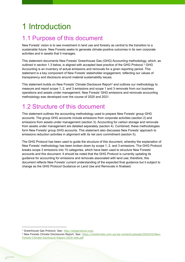# <span id="page-4-0"></span>1 Introduction

# <span id="page-4-1"></span>1.1 Purpose of this document

New Forests' vision is to see investment in land use and forestry as central to the transition to a sustainable future. New Forests seeks to generate climate-positive outcomes in its own corporate activities and in assets that it manages.

This statement documents New Forests' Greenhouse Gas (GHG) Accounting methodology, which, as outlined in section 1.3 below, is aligned with accepted best practice of the GHG Protocol.<sup>1</sup> GHG Accounting is an inventory of actual emissions and removals for a given reporting period. This statement is a key component of New Forests' stakeholder engagement, reflecting our values of transparency and disclosure around material sustainability issues.

This statement builds on New Forests' Climate Disclosure Report<sup>2</sup> and outlines our methodology to measure and report scope 1, 2, and 3 emissions and scope 1 and 3 removals from our business operations and assets under management. New Forests' GHG emissions and removals accounting methodology was developed over the course of 2020 and 2021.

# <span id="page-4-2"></span>1.2 Structure of this document

This statement outlines the accounting methodology used to prepare New Forests' group GHG accounts. The group GHG accounts include emissions from corporate activities (section 2) and emissions from assets under management (section 3). Accounting for carbon storage and removals from assets under management are detailed separately (section 4). Combined, these methodologies form New Forests' group GHG accounts. This statement also discusses New Forests' approach to emissions reduction activities in alignment with its net zero commitment (section 5).

The GHG Protocol has been used to guide the structure of this document, whereby the explanation of New Forests' methodology has been broken down by scope 1, 2, and 3 emissions. The GHG Protocol breaks scope 3 emissions into 15 categories, which have been used to structure New Forests' accounts and this document. It should be noted that the GHG Protocol is currently updating its guidance for accounting for emissions and removals associated with land use; therefore, this document reflects New Forests' current understanding of the expected final guidance but it subject to change as the GHG Protocol Guidance on Land Use and Removals in finalised.

<sup>1</sup> Greenhouse Gas Protocol. See: [http://ghgprotocol.org/.](http://ghgprotocol.org/)

<sup>2</sup> New Forests Climate Disclosures Report. See: [https://newforests.com.au/wp-content/uploads/2020/03/New-](https://newforests.com.au/wp-content/uploads/2020/03/New-Forests-Climate-Disclosure-Report-2020-web.pdf)[Forests-Climate-Disclosure-Report-2020-web.pdf](https://newforests.com.au/wp-content/uploads/2020/03/New-Forests-Climate-Disclosure-Report-2020-web.pdf)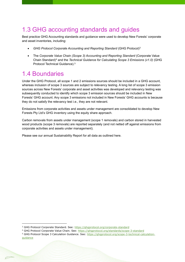# <span id="page-5-0"></span>1.3 GHG accounting standards and guides

Best practice GHG Accounting standards and guidance were used to develop New Forests' corporate and asset inventories, including:

- *GHG Protocol Corporate Accounting and Reporting Standard* (GHG Protocol)<sup>3</sup>
- The *Corporate Value Chain (Scope 3) Accounting and Reporting Standard* (Corporate Value Chain Standard)<sup>4</sup> and the *Technical Guidance for Calculating Scope 3 Emissions (v1.0)* (GHG Protocol Technical Guidance).<sup>5</sup>

# <span id="page-5-1"></span>1.4 Boundaries

Under the GHG Protocol, all scope 1 and 2 emissions sources should be included in a GHG account, whereas inclusion of scope 3 sources are subject to relevancy testing. A long list of scope 3 emission sources across New Forests' corporate and asset activities was developed and relevancy testing was subsequently conducted to identify which scope 3 emission sources should be included in New Forests' GHG account. Any scope 3 emissions not included in New Forests' GHG accounts is because they do not satisfy the relevancy test i.e., they are not relevant.

Emissions from corporate activities and assets under management are consolidated to develop New Forests Pty Ltd's GHG inventory using the equity share approach.

Carbon removals from assets under management (scope 1 removals) and carbon stored in harvested wood products (scope 3 removals) are reported separately (and not netted off against emissions from corporate activities and assets under management).

Please see our annual Sustainability Report for all data as outlined here.

<sup>&</sup>lt;sup>3</sup> GHG Protocol Corporate Standard. See[: https://ghgprotocol.org/corporate-standard](https://ghgprotocol.org/corporate-standard)

<sup>&</sup>lt;sup>4</sup> GHG Protocol Corporate Value Chain. See:<https://ghgprotocol.org/standards/scope-3-standard>

<sup>5</sup> GHG Protocol Scope 3 Calculation Guidance. See: [https://ghgprotocol.org/scope-3-technical-calculation](https://ghgprotocol.org/scope-3-technical-calculation-guidance)[guidance](https://ghgprotocol.org/scope-3-technical-calculation-guidance)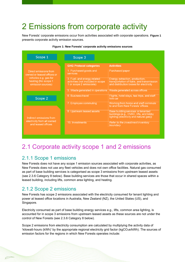# <span id="page-6-0"></span>2 Emissions from corporate activity

New Forests' corporate emissions occur from activities associated with corporate operations. **[Figure 1](#page-6-4)** presents corporate activity emission sources.

<span id="page-6-4"></span>

#### **Figure 1: New Forests' corporate activity emissions sources**

# <span id="page-6-1"></span>2.1 Corporate activity scope 1 and 2 emissions

### <span id="page-6-2"></span>2.1.1 Scope 1 emissions

New Forests does not have any scope 1 emission sources associated with corporate activities, as New Forests does not use any fleet vehicles and does not own office facilities. Natural gas consumed as part of base building services is categorised as scope 3 emissions from upstream leased assets (see 2.3.6 Category 8 below). Base building services are those that occur in shared spaces within a leased building, including lifts, common area lighting, and heating.

### <span id="page-6-3"></span>2.1.2 Scope 2 emissions

New Forests has scope 2 emissions associated with the electricity consumed for tenant lighting and power at leased office locations in Australia, New Zealand (NZ), the United States (US), and Singapore.

Electricity consumed as part of base building energy services e.g., lifts, common area lighting, is accounted for in scope 3 emissions from upstream leased assets as these sources are not under the control of New Forests (see 2.3.6 Category 8 below).

Scope 2 emissions from electricity consumption are calculated by multiplying the activity data of 'kilowatt-hours (kWh)' by the appropriate regional electricity grid factor (kgCO<sub>2</sub>e/kWh). The sources of emission factors for the regions in which New Forests operates include: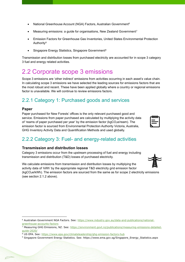- National Greenhouse Account (NGA) Factors, Australian Government<sup>6</sup>
- Measuring emissions: a guide for organisations, New Zealand Government7
- Emission Factors for Greenhouse Gas Inventories, United States Environmental Protection Authority<sup>8</sup>
- Singapore Energy Statistics, Singapore Government<sup>9</sup>

Transmission and distribution losses from purchased electricity are accounted for in scope 3 category 3 fuel and energy related activities.

# <span id="page-7-0"></span>2.2 Corporate scope 3 emissions

Scope 3 emissions are 'other indirect' emissions from activities occurring in each asset's value chain. In calculating scope 3 emissions we have selected the leading sources for emissions factors that are the most robust and recent. These have been applied globally where a country or regional emissions factor is unavailable. We will continue to review emissions factors.

## <span id="page-7-1"></span>2.2.1 Category 1: Purchased goods and services

#### **Paper**

Paper purchased for New Forests' offices is the only relevant purchased good and service. Emissions from paper purchased are calculated by multiplying the activity data of 'reams of paper purchased per year' by the emission factor ( $kgCO<sub>2</sub>e$ /ream). The emission factor is sourced from Environmental Protection Authority Victoria, Australia, GHG Inventory Activity Data and Quantification Methods and used globally.

| .<br>шп |  |
|---------|--|
|         |  |
|         |  |
|         |  |

## <span id="page-7-2"></span>2.2.2 Category 3: Fuel- and energy-related activities

#### **Transmission and distribution losses**

Category 3 emissions occur from the upstream processing of fuel and energy including transmission and distribution (T&D) losses of purchased electricity.

We calculate emissions from transmission and distribution losses by multiplying the activity data of 'kWh' by the appropriate regional T&D electricity grid emission factor (kgCO2e/kWh). The emission factors are sourced from the same as for scope 2 electricity emissions (see section 2.1.2 above).

<sup>6</sup> Australian Government NGA Factors. See: [https://www.industry.gov.au/data-and-publications/national](https://www.industry.gov.au/data-and-publications/national-greenhouse-accounts-factors)[greenhouse-accounts-factors](https://www.industry.gov.au/data-and-publications/national-greenhouse-accounts-factors)

<sup>7</sup> Measuring GHG Emissions, NZ. See: [https://environment.govt.nz/publications/measuring-emissions-detailed](https://environment.govt.nz/publications/measuring-emissions-detailed-guide-2020/)[guide-2020/](https://environment.govt.nz/publications/measuring-emissions-detailed-guide-2020/)

<sup>8</sup> US EPA. See:<https://www.epa.gov/climateleadership/ghg-emission-factors-hub>

<sup>9</sup> Singapore Government Energy Statistics. See: https://www.ema.gov.sg/Singapore\_Energy\_Statistics.aspx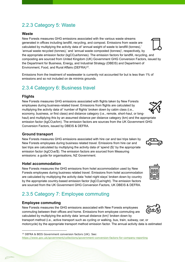# <span id="page-8-0"></span>2.2.3 Category 5: Waste

#### **Waste**

New Forests measures GHG emissions associated with the various waste streams generated in offices including landfill, recycling, and compost. Emissions from waste are calculated by multiplying the activity data of 'annual weight of waste to landfill (tonnes),' 'annual waste recycled (tonnes),' and 'annual waste composted (tonnes)', respectively, by the appropriate emission factor (kgCO<sub>2</sub>e/tonnes). The emission factors for landfill, recycling, and composting are sourced from United Kingdom (UK) Government GHG Conversion Factors, issued by the Department for Business, Energy, and Industrial Strategy (DBEIS) and Department of Environment, Food, and Rural Affairs (DEFRA)<sup>10</sup>.

Emissions from the treatment of wastewater is currently not accounted for but is less than 1% of emissions and so not included on de minimis grounds.

## <span id="page-8-1"></span>2.3.4 Category 6: Business travel

#### **Flights**

New Forests measures GHG emissions associated with flights taken by New Forests employees during business-related travel. Emissions from flights are calculated by multiplying the activity data of 'number of flights' broken down by cabin class (i.e., economy, business, or first class) and distance category (i.e., remote, short-haul, or longhaul) and multiplying this by an assumed distance per distance category (km) and the appropriate emission factor (kgCO<sub>2</sub>e/km). The emission factors are sources from the UK Government GHG Conversion Factors, issued by DBEIS & DEFRA.

#### **Ground transport**

New Forests measures GHG emissions associated with hire car and taxi trips taken by New Forests employees during business related travel. Emissions from hire car and taxi trips are calculated by multiplying the activity data of 'spend (\$)' by the appropriate emission factor (kgCO<sub>2</sub>e/\$). The emission factors are sourced from Measuring emissions: a guide for organisations, NZ Government.

#### **Hotel accommodation**

New Forests measures the GHG emissions from hotel accommodation used by New Forests employees during business related travel. Emissions from hotel accommodation are calculated by multiplying the activity data 'hotel night stays' broken down by country by the appropriate country-based emission factor ( $kgCO<sub>2</sub>e/night$ ). The emission factors are sourced from the UK Government GHG Conversion Factors, UK DBEIS & DEFRA.

# <span id="page-8-2"></span>2.3.5 Category 7: Employee commuting

#### **Employee commuting**

New Forests measures the GHG emissions associated with New Forests employees commuting between their offices and home. Emissions from employee commuting are calculated by multiplying the activity data 'annual distance (km)' broken down by transport method (i.e., active transport such as cycling or walking, bus, train, subway, car, or motorcycle) by the appropriate transport method emission factor. The annual activity data is estimated











<sup>10</sup> DEFRA & BEIS Government conversion factors (UK). See: <https://www.gov.uk/government/collections/government-conversion-factors-for-company-reporting>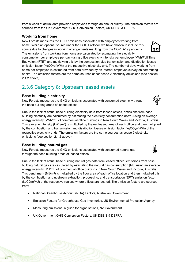from a week of actual data provided employees through an annual survey. The emission factors are sourced from the UK Government GHG Conversion Factors, UK DBEIS & DEFRA.

#### **Working from home**

New Forests measures the GHG emissions associated with employees working from home. While an optional source under the GHG Protocol, we have chosen to include this source due to changes in working arrangements resulting from the COVID-19 pandemic. The emissions from working from home are calculated by estimating the electricity

consumption per employee per day (using office electricity intensity per employee (kWh/Full Time Equivalent (FTE)) and multiplying this by the combustion plus transmission and distribution losses emission factor (kgCO<sub>2</sub>e/kWh) of the respective electricity grid. The number of days working from home per employee is estimated from data provided by an internal employee survey on commuting habits. The emission factors are the same sources as for scope 2 electricity emissions (see section 2.1.2 above).

## <span id="page-9-0"></span>2.3.6 Category 8: Upstream leased assets

#### **Base building electricity**

New Forests measures the GHG emissions associated with consumed electricity through the base building areas of leased offices.

Due to the lack of actual base building electricity data from leased offices, emissions from base building electricity are calculated by estimating the electricity consumption (kWh) using an average energy intensity (kWh/m²) of commercial office buildings in New South Wales and Victoria, Australia. This average intensity (kWh/m²) is multiplied by the net leased area of each office and then multiplied  $\,$ by the combustion and transmission and distribution losses emission factor (kgCO<sub>2</sub>e/kWh) of the respective electricity grids. The emission factors are the same sources as scope 2 electricity emissions (see section 2.1.2 above).

#### **Base building natural gas**

New Forests measures the GHG emissions associated with consumed natural gas through the base building areas of leased offices.

Due to the lack of actual base building natural gas data from leased offices, emissions from base building natural gas are calculated by estimating the natural gas consumption (MJ) using an average energy intensity (MJ/m²) of commercial office buildings in New South Wales and Victoria, Australia. This benchmark (MJ/m²) is multiplied by the floor area of each office location and then multiplied this by the combustion and upstream extraction, processing, and transportation (EPT) emission factor (kgCO2e/MJ) of the respective regions where offices are located. The emission factors are sourced from:

- National Greenhouse Account (NGA) Factors, Australian Government
- Emission Factors for Greenhouse Gas Inventories, US Environmental Protection Agency
- Measuring emissions: a guide for organisations, NZ Government
- UK Government GHG Conversion Factors, UK DBEIS & DEFRA





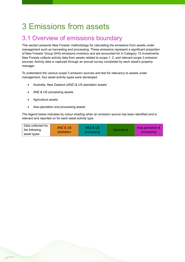# <span id="page-10-0"></span>3 Emissions from assets

# <span id="page-10-1"></span>3.1 Overview of emissions boundary

This section presents New Forests' methodology for calculating the emissions from assets under management such as harvesting and processing. These emissions represent a significant proportion of New Forests' Group GHG emissions inventory and are accounted for in Category 15 Investments. New Forests collects activity data from assets related to scope 1, 2, and relevant scope 3 emission sources. Activity data is captured through an annual survey completed by each asset's property manager.

To understand the various scope 3 emission sources and test for relevancy to assets under management, four asset activity types were developed:

- Australia, New Zealand (ANZ) & US plantation assets
- ANZ & US processing assets
- Agriculture assets
- Asia plantation and processing assets

The legend below indicates by colour shading when an emission source has been identified and is relevant and reported on for each asset activity type.

| Data collected for | ANZ & US   | ANZ & US   |             |                                 |
|--------------------|------------|------------|-------------|---------------------------------|
| the following      | plantation | processing | Aariculture | Asia plantation &<br>processing |
| asset types        |            |            |             |                                 |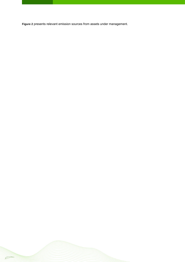<span id="page-11-0"></span>**[Figure 2](#page-11-0)** presents relevant emission sources from assets under management.

 $\varphi$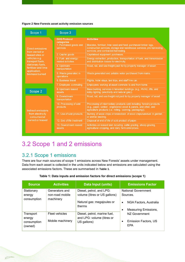#### **Figure 2 New Forests asset activity emission sources**

| Scope 1                                  | Scope 3                                                                        |                                                                                                                                                                                                        |
|------------------------------------------|--------------------------------------------------------------------------------|--------------------------------------------------------------------------------------------------------------------------------------------------------------------------------------------------------|
| Direct emissions<br>from owned or        | <b>GHG Protocol</b><br>categories<br>1. Purchased goods and<br><b>services</b> | <b>Activities</b><br>Biocides, fertiliser, lime seed and feed, purchased timber logs,<br>construction services, storage and warehouse services, pre-harvesting<br>services, and contracted harvesting. |
| leased sites or                          | 2. Capital goods                                                               | Capitalised equipment purchases.                                                                                                                                                                       |
| vehicles e.g.<br>transport fuels,        | 3. Fuel- and energy-<br>related activities                                     | Energy extraction, production, transportation of fuels, and transmission<br>and distribution losses for electricity.                                                                                   |
| stationary fuels,<br>fertiliser and lime | 4. Upstream<br>transportation                                                  | Road, rail, and sea freight paid for by property manager of asset.                                                                                                                                     |
| application,<br>biomass burned           | 5. Waste generated in<br>operations                                            | Waste generated and potable water purchased from mains.                                                                                                                                                |
|                                          | 6. Business travel                                                             | Flights, hotel stays, taxi trips, and staff hire car.                                                                                                                                                  |
|                                          | 7. Employee commuting                                                          | Employees working at asset commute to and from home.                                                                                                                                                   |
| Scope 2                                  | 8. Upstream leased<br>assets                                                   | Base building services in tenanted buildings (e.g., HVAC, lifts, and<br>lobby lighting (electricity and natural gas)).                                                                                 |
|                                          | 9. Downstream<br>transportation                                                | Road, rail, and sea freight not paid for by property manager of asset.                                                                                                                                 |
| Indirect emissions                       | 10. Processing of sold<br>products                                             | Processing of intermediary products sold including forestry products<br>(e.g., paper, lumber, engineered wood & panels, and other, and<br>agriculture products (i.e. milling, canning, packaging)).    |
| from electricity<br>consumed at          | 11. Use of sold products                                                       | Burning of wood chips or breakdown of wood chips/sawdust in garden<br>or animal bedding.                                                                                                               |
| owned or leased                          | 12. End of life treatment                                                      | Disposal at end of life of sold product of paper.                                                                                                                                                      |
|                                          | 13. Downstream leased<br>assets                                                | Activities on leased land including cattle grazing, sheep grazing,<br>agricultural cropping, and dairy farm enterprises.                                                                               |

# <span id="page-12-0"></span>3.2 Scope 1 and 2 emissions

### <span id="page-12-1"></span>3.2.1 Scope 1 emissions

 $\subset$ 

There are four main sources of scope 1 emissions across New Forests' assets under management. Data from each asset is collected in the units indicated below and emissions are calculated using the associated emissions factors. These are summarised in **[Table 1](#page-12-2)**.

<span id="page-12-2"></span>

| <b>Source</b>                                 | <b>Activities</b>                              | Data Input (units)                                                                                | <b>Emissions Factor</b>                                                                                                   |
|-----------------------------------------------|------------------------------------------------|---------------------------------------------------------------------------------------------------|---------------------------------------------------------------------------------------------------------------------------|
| Stationary<br>energy<br>consumption           | Generators and<br>non-road mobile<br>machinery | Diesel, petrol, and LPG:<br>volume (litres or US gallons)<br>Natural gas: megajoules or<br>therms | <b>National Government</b><br>Sources.<br>NGA Factors, Australia<br>$\bullet$<br><b>Measuring Emissions,</b><br>$\bullet$ |
| Transport<br>energy<br>consumption<br>(owned) | Fleet vehicles<br>Mobile machinery             | Diesel, petrol, marine fuel,<br>and LPG: volume (litres or<br>US gallons)                         | NZ Government<br>Emission Factors, US<br>$\bullet$<br>EPA                                                                 |

#### **Table 1: Data inputs and emission factors for direct emissions (scope 1)**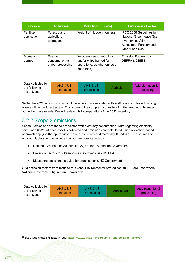| <b>Source</b>             | <b>Activities</b>                             | <b>Data Input (units)</b>                                                                            | <b>Emissions Factor</b>                                                                                                    |
|---------------------------|-----------------------------------------------|------------------------------------------------------------------------------------------------------|----------------------------------------------------------------------------------------------------------------------------|
| Fertiliser<br>application | Forestry and<br>agriculture<br>operations     | Weight of nitrogen (tonnes)                                                                          | IPCC 2006 Guidelines for<br>National Greenhouse Gas<br>Inventories, Vol 4:<br>Agriculture, Forestry and<br>Other Land Use. |
| <b>Biomass</b><br>burned* | Energy<br>consumption at<br>timber processing | Wood residues, wood logs,<br>and/or chips burned for<br>operations: weight (tonnes or<br>short tons) | Emission Factors, UK<br>DEFRA & DBEIS                                                                                      |

| Data collected for                                                                | ANZ & US    | ANZ & US   | Asia plantation & |
|-----------------------------------------------------------------------------------|-------------|------------|-------------------|
| $^{\scriptscriptstyle\mathsf{L}}$ the following $^{\scriptscriptstyle\mathsf{L}}$ | plantation. | processing | processing        |
| ' asset types                                                                     |             |            |                   |

\*Note, the 2021 accounts do not include emissions associated with wildfire and controlled burning events within the forest estate. This is due to the complexity of estimating the amount of biomass burned in these events. We will review this in preparation of the 2022 inventory.

### <span id="page-13-0"></span>3.2.2 Scope 2 emissions

Scope 2 emissions are those associated with electricity consumption. Data regarding electricity consumed (kWh) at each asset is collected and emissions are calculated using a location-based approach applying the appropriate regional electricity grid factor (kgCO<sub>2</sub>e/kWh). The sources of emission factors for the regions in which we operate include:

- National Greenhouse Account (NGA) Factors, Australian Government
- Emission Factors for Greenhouse Gas Inventories US EPA
- Measuring emissions: a guide for organisations, NZ Government

Grid emission factors from Institute for Global Environmental Strategies<sup>11</sup> (IGES) are used where National Government figures are unavailable.

| Data collected for<br>the following<br>asset types | ANZ & US<br>plantation | ANZ & US<br>processing |  | Asia plantation &<br>processing |
|----------------------------------------------------|------------------------|------------------------|--|---------------------------------|
|----------------------------------------------------|------------------------|------------------------|--|---------------------------------|

<sup>&</sup>lt;sup>11</sup> IGES Grid emissions factors. See: <https://www.iges.or.jp/en/pub/list-grid-emission-factor/en>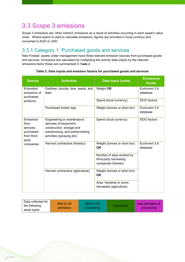# <span id="page-14-0"></span>3.3 Scope 3 emissions

 $\varphi$ 

Scope 3 emissions are 'other indirect' emissions as a result of activities occurring in each asset's value chain. Where spend is used to calculate emissions, figures are provided in local currency and converted to AUD or USD.

## <span id="page-14-1"></span>3.3.1 Category 1: Purchased goods and services

New Forests' assets under management have three relevant emission sources from purchased goods and services. Emissions are calculated by multiplying the activity data (input) by the relevant emissions factor these are summarised in **[Table 2](#page-14-2)**

<span id="page-14-2"></span>

| <b>Source</b>                                                      | <b>Activities</b>                                                                                                                                 | Data Input (units)                                                        | <b>Emissions</b><br><b>Factor</b> |
|--------------------------------------------------------------------|---------------------------------------------------------------------------------------------------------------------------------------------------|---------------------------------------------------------------------------|-----------------------------------|
| Embodied<br>emissions of<br>purchased                              | Fertiliser, biocide, lime, seeds, and<br>feed                                                                                                     | Weight OR                                                                 | Ecolnyent 3.8<br>database         |
| products                                                           |                                                                                                                                                   | Spend (local currency)                                                    | <b>EEIO</b> factors               |
|                                                                    | Purchased timber logs                                                                                                                             | Weight (tonnes or short ton)                                              | Ecolnvent 3.8<br>database         |
| Emissions<br>from<br>services<br>purchased<br>from third-<br>party | Engineering or maintenance<br>services of equipment,<br>construction, storage and<br>warehousing, and preharvesting<br>activities (spraying etc). | Spend (local currency)                                                    | <b>EEIO</b> factors               |
| companies                                                          | Harvest contractors (forestry)                                                                                                                    | Weight (tonnes or short ton)<br><b>OR</b>                                 | Ecolnvent 3.8<br>database         |
|                                                                    |                                                                                                                                                   | Number of days worked by<br>third-party harvesting<br>companies (forests) |                                   |
|                                                                    | Harvest contractors (agriculture)                                                                                                                 | Weight (tonnes or short ton)<br><b>OR</b>                                 |                                   |
|                                                                    |                                                                                                                                                   | Area: hectares or acres<br>harvested (agriculture)                        |                                   |

#### **Table 2: Data inputs and emission factors for purchased goods and services**

| Data collected for<br>the following<br>asset types | ANZ & US<br>plantation | ANZ & US<br>processing |  | Asia plantation &<br>processing |
|----------------------------------------------------|------------------------|------------------------|--|---------------------------------|
|----------------------------------------------------|------------------------|------------------------|--|---------------------------------|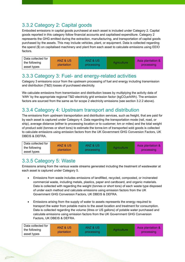# <span id="page-15-0"></span>3.3.2 Category 2: Capital goods

Embodied emissions in capital goods purchased at each asset is included under Category 2. Capital goods reported in this category follow financial accounts and capitalised expenditure. Category 2 represents the GHG emitted during the extraction, manufacturing, and transportation of capital goods purchased by the assets. This may include vehicles, plant, or equipment. Data is collected regarding the spend (\$) on capitalised machinery and plant from each asset to calculate emissions using EEIO factors.

| Data collected for | ANZ & US   | ANZ & US   | Agriculture | Asia plantation & |
|--------------------|------------|------------|-------------|-------------------|
| the following      | plantation | processing |             | processing        |
| asset types        |            |            |             |                   |

## <span id="page-15-1"></span>3.3.3 Category 3: Fuel- and energy-related activities

Category 3 emissions occur from the upstream processing of fuel and energy including transmission and distribution (T&D) losses of purchased electricity.

We calculate emissions from transmission and distribution losses by multiplying the activity data of 'kWh' by the appropriate regional T&D electricity grid emission factor ( $kqCO_2e/kWh$ ). The emission factors are sourced from the same as for scope 2 electricity emissions (see section 3.2.2 above).

### <span id="page-15-2"></span>3.3.4 Category 4: Upstream transport and distribution

The emissions from upstream transportation and distribution services, such as freight, that are paid for by each asset is captured under Category 4. Data regarding the transportation mode (rail, road, or ship), average distance (either to processing location or to customer; km or miles) and the total weight of product sold (tonnes or short tons) to estimate the tonne.km of transported sold goods is collected to calculate emissions using emission factors from the UK Government GHG Conversion Factors, UK DBEIS & DEFRA.

| Data collected for | ANZ & US   | ANZ & US   | Asia plantation & |
|--------------------|------------|------------|-------------------|
| the following      | plantation | processing | processing        |
| asset types        |            |            |                   |

# <span id="page-15-3"></span>3.3.5 Category 5: Waste

Emissions arising from the various waste streams generated including the treatment of wastewater at each asset is captured under Category 5.

- Emissions from waste includes emissions of landfilled, recycled, composted, or incinerated commercial waste, including metals, plastics, paper and cardboard, and organic materials. Data is collected with regarding the weight (tonnes or short tons) of each waste type disposed of under each method and calculate emissions using emission factors from the UK Government GHG Conversion Factors, UK DBEIS & DEFRA.
- Emissions arising from the supply of water to assets represents the energy required to transport the water from potable mains to the asset location and treatment for consumption. Data is collected regarding the volume (litres or US gallons) of potable water purchased and calculate emissions using emission factors from the UK Government GHG Conversion Factors, UK DBEIS & DEFRA.

| Data collected for | ANZ & US   | <b>ANZ &amp; US</b> |             |                   |
|--------------------|------------|---------------------|-------------|-------------------|
| the following      | plantation |                     | Aariculture | Asia plantation & |
| asset types        |            | processing          |             | processing        |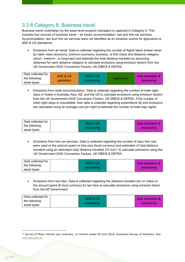## <span id="page-16-0"></span>3.3.6 Category 6: Business travel

Business travel undertaken by the asset-level property managers is captured in Category 6. This includes four sources of business travel – air travel, accommodation, taxi and hire car services. Accommodation, taxi and hire car services were not identified as an emission source for agriculture or ANZ & US plantations.

• Emissions from air travel. Data is collected regarding the number of flights taken broken down by cabin class (economy, premium economy, business, or first class) and distance category (short-, medium-, or long-haul) and estimate the total distance travelled by assuming distances for each distance category to calculate emissions using emission factors from the UK Government GHG Conversion Factors, UK DBEIS & DEFRA.

| Data collected for | ANZ & US   | ANZ & US   |             | Asia plantation & |
|--------------------|------------|------------|-------------|-------------------|
| the following      | plantation | processing | Aariculture |                   |
| asset types        |            |            |             | processing        |

• Emissions from hotel accommodation. Data is collected regarding the number of hotel night stays in hotels in Australia, Asia, NZ, and the US to calculate emissions using emission factors from the UK Government GHG Conversion Factors, UK DBEIS & DEFRA. If the number of hotel night stays is unavailable, then data is collected regarding expenditure (\$) and emissions are calculated using an average cost per night to estimate the number of hotel stay nights.

| Data collected for |            |                   |
|--------------------|------------|-------------------|
|                    | ANZ & US   | Asia plantation & |
| the following      |            |                   |
| asset types        | processing | processing        |

• Emissions from hire car services. Data is collected regarding the number of days hire cars were used or the amount spent on hire cars (local currency) and estimates of total distance travelled using an estimated daily distance travelled  $(37 \text{ km})^{12}$  to calculate emissions using the UK Government GHG Conversion Factors, UK DBEIS & DEFRA.

| Data collected for |                                                                                                                                                       |                   |
|--------------------|-------------------------------------------------------------------------------------------------------------------------------------------------------|-------------------|
|                    | ANZ & US                                                                                                                                              | Asia plantation & |
| the following      | processing                                                                                                                                            | processing        |
| asset types        | a ser per per ser per ser per per ser per ser per ser per ser per ser per ser per ser per ser per ser per ser per ser per ser per ser per ser per ser |                   |

• Emissions from taxi trips. Data is collected regarding the distance travelled (km or miles) or the amount spent (\$ local currency) for taxi trips to calculate emissions using emission factor from the NZ Government.

| Data collected for |                     |                   |
|--------------------|---------------------|-------------------|
|                    | <b>ANZ &amp; US</b> | Asia plantation & |
| the following      | processing          | processing        |
| asset types        |                     |                   |

<sup>&</sup>lt;sup>12</sup> Survey of Motor Vehicle Use, Australia, 12 months ended 30 June 2018, Australian Bureau of Statistics. See: [www.abs.gov.au](http://www.abs.gov.au/)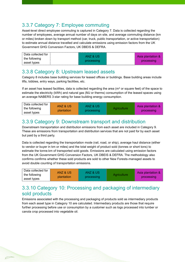# <span id="page-17-0"></span>3.3.7 Category 7: Employee commuting

Asset-level direct employee commuting is captured in Category 7. Data is collected regarding the number of employees, average annual number of days on site, and average commuting distance (km or miles) broken down by transport method (car, truck, public transportation, or active transportation) to estimate annual distance travelled and calculate emissions using emission factors from the UK Government GHG Conversion Factors, UK DBEIS & DEFRA.

| ⊧ Data collected for |            |                   |
|----------------------|------------|-------------------|
|                      | ANZ & US   | Asia plantation & |
| the following        |            |                   |
|                      | processing | processing        |
| asset types          |            |                   |

### <span id="page-17-1"></span>3.3.8 Category 8: Upstream leased assets

Category 8 includes base building services for leased offices or buildings. Base building areas include lifts, lobbies, entry ways, parking facilities, etc.

If an asset has leased facilities, data is collected regarding the area ( $m<sup>2</sup>$  or square feet) of the space to estimate the electricity (kWh) and natural gas (MJ or therms) consumption of the leased spaces using an average NABERS 3-star rating for base building energy consumption.

| Data collected for | ANZ & US   | ANZ & US   |             |                   |
|--------------------|------------|------------|-------------|-------------------|
| the following      |            |            | Aariculture | Asia plantation & |
| asset types        | plantation | processing |             | processing        |

## <span id="page-17-2"></span>3.3.9 Category 9: Downstream transport and distribution

Downstream transportation and distribution emissions from each asset are included in Category 9. These are emissions from transportation and distribution services that are not paid for by each asset but paid by a third party.

Data is collected regarding the transportation mode (rail, road, or ship), average haul distance (either to vendor or buyer in km or miles) and the total weight of product sold (tonnes or short tons) to estimate the tonne.km of transported sold goods. Emissions are calculated using emission factors from the UK Government GHG Conversion Factors, UK DBEIS & DEFRA. The methodology also confirms confirms whether these sold products are sold to other New Forests-managed assets to avoid double counting of transportation emissions.

| $^\mathrm{+}$ Data collected for $^\mathrm{+}$ | ANZ & US   | ANZ & US   |             |                   |
|------------------------------------------------|------------|------------|-------------|-------------------|
| the following                                  | plantation |            | Aariculture | Asia plantation & |
| asset types                                    |            | processing |             | processing        |

## <span id="page-17-3"></span>3.3.10 Category 10: Processing and packaging of intermediary sold products

Emissions associated with the processing and packaging of products sold as intermediary products from each asset type in Category 10 are calculated. Intermediary products are those that require further processing before use or consumption by a customer such as logs processed into lumber or canola crop processed into vegetable oil.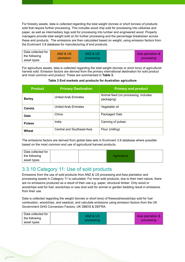For forestry assets, data is collected regarding the total weight (tonnes or short tonnes) of products sold that require further processing. This includes wood chip sold for processing into cellulose and paper, as well as intermediary logs sold for processing into lumber and engineered wood. Property managers provide total weight sold on for further processing and the percentage breakdown across these end products. The emissions are then calculated based on weight, using emission factors from the EcoInvent 3.8 database for manufacturing of end products.

| Data collected for | ANZ & US   | ANZ & US   |                   |
|--------------------|------------|------------|-------------------|
| the following      |            |            | Asia plantation & |
| asset types        | plantation | processing | processing        |

For agriculture assets, data is collected regarding the total weight (tonnes or short tons) of agricultural harvest sold. Emission factors are derived from the primary international destination for sold product and most common end product. These are summarised in **Table 3.**

| <b>Product</b> | <b>Primary Destination</b>  | <b>Primary end product</b>                         |
|----------------|-----------------------------|----------------------------------------------------|
| <b>Barley</b>  | <b>United Arab Emirates</b> | Animal feed (no processing, includes<br>packaging) |
| Canola         | <b>United Arab Emirates</b> | Vegetable oil                                      |
| <b>Oats</b>    | China                       | Packaged Oats                                      |
| <b>Pulses</b>  | India                       | Canning of pulses                                  |
| <b>Wheat</b>   | Central and Southeast Asia  | Flour (milling)                                    |

#### **Table 3 End markets and products for Australian agriculture**

The emissions factors are derived from global data sets in Ecolnvent 3.8 database where possible based on the most common end use of agricultural harvest products.

| Data collected for |             |  |
|--------------------|-------------|--|
| the following      | Aariculture |  |
| asset types        |             |  |

### <span id="page-18-0"></span>3.3.10 Category 11: Use of sold products

Emissions from the use of sold products from ANZ & US processing and Asia plantation and processing assets in Category 11 is calculated. For most sold products, due to their inert nature, there are no emissions produced as a result of their use e.g. paper, structural timber. Only wood or woodchips sold for fuel, woodchips or saw dust sold for animal or garden bedding result in emissions from their use.

Data is collected regarding the weight (tonnes or short tons) of firewood/woodchips sold for fuel combustion, woodchips, and sawdust, and calculate emissions using emission factors from the UK Government GHG Conversion Factors, UK DBEIS & DEFRA.

| Data collected for |            |                   |
|--------------------|------------|-------------------|
|                    | ANZ & US   | Asia plantation & |
| the following      | processing | processing        |
| ∣ asset types      |            |                   |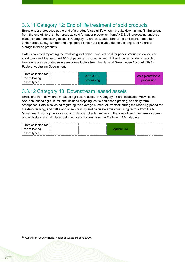## <span id="page-19-0"></span>3.3.11 Category 12: End of life treatment of sold products

Emissions are produced at the end of a product's useful life when it breaks down in landfill. Emissions from the end of life of timber products sold for paper production from ANZ & US processing and Asia plantation and processing assets in Category 12 are calculated. End of life emissions from other timber products e.g. lumber and engineered timber are excluded due to the long lived nature of storage in these products.

Data is collected regarding the total weight of timber products sold for paper production (tonnes or short tons) and it is assumed 40% of paper is disposed to land fill<sup>13</sup> and the remainder is recycled. Emissions are calculated using emissions factors from the National Greenhouse Account (NGA) Factors, Australian Government.

| $^\circ$ Data collected for | ANZ & US   | Asia plantation & |
|-----------------------------|------------|-------------------|
| the following               |            |                   |
|                             | processing | processing        |
| asset types                 |            |                   |
|                             |            |                   |

### <span id="page-19-1"></span>3.3.12 Category 13: Downstream leased assets

Emissions from downstream leased agriculture assets in Category 13 are calculated. Activities that occur on leased agricultural land includes cropping, cattle and sheep grazing, and dairy farm enterprises. Data is collected regarding the average number of livestock during the reporting period for the dairy farming, and cattle and sheep grazing and calculate emissions using factors from the NZ Government. For agricultural cropping, data is collected regarding the area of land (hectares or acres) and emissions are calculated using emission factors from the EcoInvent 3.8 database.

| Data collected for |             |  |
|--------------------|-------------|--|
| the following      | Aariculture |  |
| asset types        |             |  |

<sup>13</sup> Australian Government, National Waste Report 2020.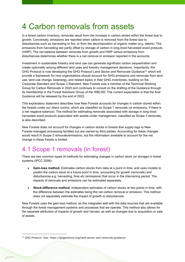# <span id="page-20-0"></span>4 Carbon removals from assets

In a forest carbon inventory, removals result from the increase in carbon stored within the forest due to growth. Conversely, emissions are reported when carbon is removed from the forest due to disturbances such as harvesting or fire, or from the decomposition of organic matter (e.g. debris). The emissions from harvesting are partly offset by storage of carbon in long-lived harvested wood products (HWP). The net balance between removals from growth and HWP versus emissions from disturbances determines whether there is a net removal or emission reported in the accounts.

Investment in sustainable forestry and land use can generate significant carbon sequestration and create optionality among different land uses and forestry management decisions. Importantly, the GHG Protocol is now developing the GHG Protocol Land Sector and Removals Guidance<sup>14</sup> which will provide a framework for how organisations should account for GHG emissions and removals from land use, land use change, bioenergy, and related topics in their GHG inventories, building on the Corporate Standard and Scope 3 Standard. New Forests was a member of the Technical Working Group for Carbon Removals in 2020 and continues to consult on the drafting of the Guidance through its membership in the Forest Solutions Group of the WBCSD. The current expectation is that the final Guidance will be released by the end of 2022.

This explanatory statement describes how New Forests accounts for changes in carbon stored within the forests under our direct control, which are classified as Scope 1 removals (or emissions, if there is a net negative balance). The method for estimating removals associated with storage in long-lived harvested wood products associated with assets under management, classified as Scope 3 removals, is also described.

New Forests does not account for changes in carbon stocks in forests that supply logs to New Forests-managed processing facilities but are owned by third parties. Accounting for these changes would result in Scope 3 removals/emissions, but the information available to account for the net change in these forests is limited.

# <span id="page-20-1"></span>4.1 Scope 1 removals (in forest)

There are two common types of methods for estimating changes in carbon stock (or storage) in forest systems (IPCC 2006):

- **Gain-loss method.** Estimates carbon stocks from data at a point in time, and uses models to predict the carbon stock at a future point in time, accounting for growth (removals) and disturbances e.g. harvesting, fires etc (emissions) that occur in the intervening period. The impacts of removals and emissions can be estimated separately.
- **Stock-difference method.** Independent estimates of carbon stocks at two points in time, with the difference between the estimates being the net carbon removal or emission. This method does not separately estimate the impact of growth or disturbances.

New Forests uses the gain-loss method, as this integrates well with the data sources that are available through the forest management systems and processes that we operate. This method also allows for the separate attribution of impacts of growth and harvest, as well as changes due to acquisition or sale of assets.

<sup>&</sup>lt;sup>14</sup> GHG Protocol. See: https://ghgprotocol.org/land-sector-and-removals-guidance.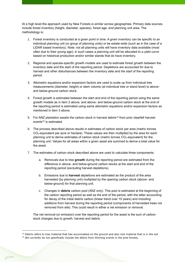At a high level the approach used by New Forests is similar across geographies. Primary data sources include forest inventory (height, diameter, species), forest age, and planning unit area. The methodology is:

- 1. Forest inventory is conducted at a given point in time. A given inventory can be specific to an individual planning unit (or group of planning units) or be estate-wide (such as in the case of a LiDAR based inventory). Note: not all planning units will have inventory data available (most often due to their young age); in such cases a planning unit will be allocated to a yield curve based on historical production and/or similar stands that do have inventory.
- 2. Regional and species-specific growth models are used to estimate forest growth between the inventory date and the start of the reporting period. Depletions are accounted for due to harvest and other disturbances between the inventory date and the start of the reporting period.
- 3. Allometric equations and/or expansion factors are used to scale up from individual tree measurements (diameter, height) or stem volume (at individual tree or stand level) to aboveand below-ground carbon stock.
- 4. Forest growth is estimated between the start and end of the reporting period using the same growth models as in item 2 above, and above- and below-ground carbon stock at the end of the reporting period is estimated using same allometric equations and/or expansion factors as mentioned in item 3 above.
- 5. For ANZ plantation assets the carbon stock in harvest debris<sup>15</sup> from prior clearfell harvest events<sup>16</sup> is estimated.
- 6. The process described above results in estimates of carbon stock per area (metric tonnes CO2-equivalent per acre or hectare). These values are then multiplied by the area for each planning unit to derive estimates of carbon stock (metric tonnes CO2-equivalent) for the planning unit. Values for all areas within a given asset are summed to derive a total value for the asset.
- 7. The estimates of carbon stock described above are used to calculate three components:
	- a. Removals due to tree **growth** during the reporting period are estimated from the difference in above- and below-ground carbon stocks at the start and end of the reporting period (excluding harvest depletions).
	- b. Emissions due to **harvest** depletions are estimated as the product of the area harvested (by planning unit) multiplied by the opening carbon stock (above- and below-ground) for that planning unit.
	- c. Changes in **debris** carbon pool (ANZ only). This pool is estimated at the beginning of the carbon reporting period as well as the end of the period, with the latter accounting for decay of the initial debris carbon (linear trend over 10 years) and including additions from harvest during the reporting period (components of harvested trees not removed from site). This could result in either a net emission or removal.

The net removal (or emission) over the reporting period for the asset is the sum of carbon stock changes due to growth, harvest and debris.

<sup>&</sup>lt;sup>15</sup> Debris refers to tree material that has accumulated on the ground and also root material that is in the soil

<sup>&</sup>lt;sup>16</sup> We currently do not specifically include the debris from thinning events in the pine forests.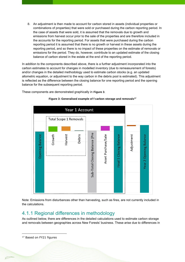8. An adjustment is then made to account for carbon stored in assets (individual properties or combinations of properties) that were sold or purchased during the carbon reporting period. In the case of assets that were sold, it is assumed that the removals due to growth and emissions from harvest occur prior to the sale of the properties and are therefore included in the accounts for the reporting period. For assets that were purchased during the carbon reporting period it is assumed that there is no growth or harvest in these assets during the reporting period, and so there is no impact of these properties on the estimate of removals or emissions for the period. They do, however, contribute to an updated estimate of the closing balance of carbon stored in the estate at the end of the reporting period.

In addition to the components described above, there is a further adjustment incorporated into the carbon estimates to account for changes in modelled inventory (due to remeasurement of forests) and/or changes in the detailed methodology used to estimate carbon stocks (e.g. an updated allometric equation, or adjustment to the way carbon in the debris pool is estimated). This adjustment is reflected as the difference between the closing balance for one reporting period and the opening balance for the subsequent reporting period.

These components are demonstrated graphically in **[Figure 3](#page-22-1)**.

<span id="page-22-1"></span>

#### **Figure 3: Generalised example of f carbon storage and removals<sup>17</sup>**

Note: Emissions from disturbances other than harvesting, such as fires, are not currently included in the calculations.

### <span id="page-22-0"></span>4.1.1 Regional differences in methodology

As outlined below, there are differences in the detailed calculations used to estimate carbon storage and removals between geographies across New Forests' business. These arise due to differences in

<sup>&</sup>lt;sup>17</sup> Based on FY21 figures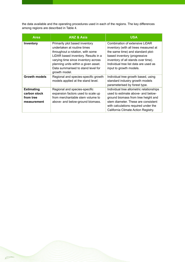the data available and the operating procedures used in each of the regions. The key differences among regions are described in Table 4.

| <b>Area</b>                                                   | <b>ANZ &amp; Asia</b>                                                                                                                                                                                                                                                          | <b>USA</b>                                                                                                                                                                                                                                              |
|---------------------------------------------------------------|--------------------------------------------------------------------------------------------------------------------------------------------------------------------------------------------------------------------------------------------------------------------------------|---------------------------------------------------------------------------------------------------------------------------------------------------------------------------------------------------------------------------------------------------------|
| Inventory                                                     | Primarily plot based inventory<br>undertaken at routine times<br>throughout a rotation, with some<br>LiDAR based inventory. Results in a<br>varying time since inventory across<br>planning units within a given asset.<br>Data summarised to stand level for<br>growth model. | Combination of extensive LiDAR<br>inventory (with all trees measured at<br>the same time) and standard plot-<br>based inventory (progressive<br>inventory of all stands over time).<br>Individual tree list data are used as<br>input to growth models. |
| <b>Growth models</b>                                          | Regional and species-specific growth<br>models applied at the stand level.                                                                                                                                                                                                     | Individual tree growth based, using<br>standard industry growth models<br>parameterised by forest type.                                                                                                                                                 |
| <b>Estimating</b><br>carbon stock<br>from tree<br>measurement | Regional and species-specific<br>expansion factors used to scale up<br>from merchantable stem volume to<br>above- and below-ground biomass.                                                                                                                                    | Individual tree allometric relationships<br>used to estimate above- and below-<br>ground biomass from tree height and<br>stem diameter. These are consistent<br>with calculations required under the<br>California Climate Action Registry.             |

 $\varphi$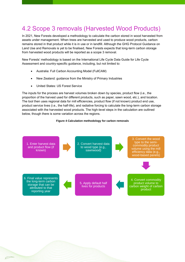# <span id="page-24-0"></span>4.2 Scope 3 removals (Harvested Wood Products)

In 2021, New Forests developed a methodology to calculate the carbon stored in wood harvested from assets under management. When trees are harvested and used to produce wood products, carbon remains stored in that product while it is in use or in landfill. Although the GHG Protocol Guidance on Land Use and Removals is yet to be finalised, New Forests expects that long-term carbon storage from harvested wood products will be reported as a scope 3 removal.

New Forests' methodology is based on the International Life Cycle Data Guide for Life Cycle Assessment and country-specific guidance, including, but not limited to:

- Australia: Full Carbon Accounting Model (FullCAM)
- New Zealand: guidance from the Ministry of Primary Industries
- United States: US Forest Service

The inputs for the process are harvest volumes broken down by species, product flow (i.e., the proportion of the harvest used for different products, such as paper, sawn wood, etc.), and location. The tool then uses regional data for mill efficiencies, product flow (if not known) product end use, product service lives (i.e., the half-life), and radiative forcing to calculate the long-term carbon storage associated with the harvested wood products. The high-level steps in the calculation are outlined below, though there is some variation across the regions.

#### **Figure 4 Calculation methodology for carbon removals**